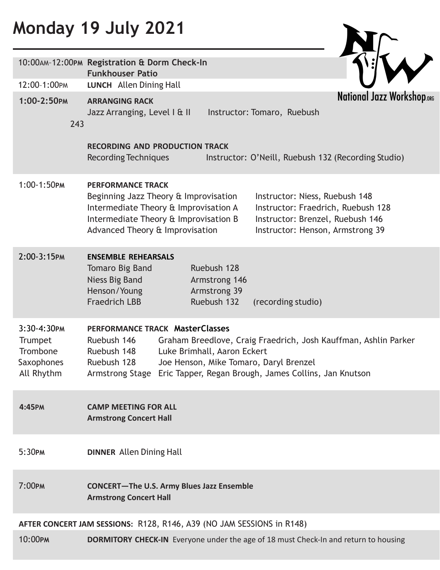# **Monday 19 July 2021**

|                                                                            | 10:00AM-12:00PM Registration & Dorm Check-In<br><b>Funkhouser Patio</b>                                                                                                                                                                                                                                                                |  |  |  |
|----------------------------------------------------------------------------|----------------------------------------------------------------------------------------------------------------------------------------------------------------------------------------------------------------------------------------------------------------------------------------------------------------------------------------|--|--|--|
| 12:00-1:00PM                                                               | LUNCH Allen Dining Hall                                                                                                                                                                                                                                                                                                                |  |  |  |
| 1:00-2:50PM<br>243                                                         | <b>National Jazz Workshop.org</b><br><b>ARRANGING RACK</b><br>Instructor: Tomaro, Ruebush<br>Jazz Arranging, Level I & II                                                                                                                                                                                                              |  |  |  |
|                                                                            | <b>RECORDING AND PRODUCTION TRACK</b><br>Recording Techniques<br>Instructor: O'Neill, Ruebush 132 (Recording Studio)                                                                                                                                                                                                                   |  |  |  |
| 1:00-1:50PM                                                                | <b>PERFORMANCE TRACK</b><br>Beginning Jazz Theory & Improvisation<br>Instructor: Niess, Ruebush 148<br>Intermediate Theory & Improvisation A<br>Instructor: Fraedrich, Ruebush 128<br>Intermediate Theory & Improvisation B<br>Instructor: Brenzel, Ruebush 146<br>Advanced Theory & Improvisation<br>Instructor: Henson, Armstrong 39 |  |  |  |
| 2:00-3:15PM                                                                | <b>ENSEMBLE REHEARSALS</b><br>Ruebush 128<br>Tomaro Big Band<br><b>Niess Big Band</b><br>Armstrong 146<br>Henson/Young<br>Armstrong 39<br><b>Fraedrich LBB</b><br>Ruebush 132<br>(recording studio)                                                                                                                                    |  |  |  |
| $3:30 - 4:30$ PM<br>Trumpet<br>Trombone<br><b>Saxophones</b><br>All Rhythm | <b>PERFORMANCE TRACK MasterClasses</b><br>Ruebush 146<br>Graham Breedlove, Craig Fraedrich, Josh Kauffman, Ashlin Parker<br>Luke Brimhall, Aaron Eckert<br>Ruebush 148<br>Ruebush 128<br>Joe Henson, Mike Tomaro, Daryl Brenzel<br>Armstrong Stage Eric Tapper, Regan Brough, James Collins, Jan Knutson                               |  |  |  |
| 4:45PM                                                                     | <b>CAMP MEETING FOR ALL</b><br><b>Armstrong Concert Hall</b>                                                                                                                                                                                                                                                                           |  |  |  |
| 5:30PM                                                                     | <b>DINNER Allen Dining Hall</b>                                                                                                                                                                                                                                                                                                        |  |  |  |
| $7:00$ PM                                                                  | <b>CONCERT-The U.S. Army Blues Jazz Ensemble</b><br><b>Armstrong Concert Hall</b>                                                                                                                                                                                                                                                      |  |  |  |
| AFTER CONCERT JAM SESSIONS: R128, R146, A39 (NO JAM SESSIONS in R148)      |                                                                                                                                                                                                                                                                                                                                        |  |  |  |
| 10:00PM                                                                    | <b>DORMITORY CHECK-IN</b> Everyone under the age of 18 must Check-In and return to housing                                                                                                                                                                                                                                             |  |  |  |

Nr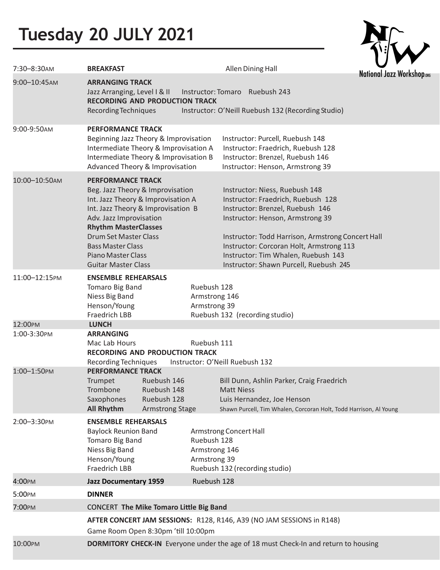# **Tuesday 20 JULY 2021**

| National Jazz Workshop.org |
|----------------------------|

| 7:30-8:30AM              | <b>BREAKFAST</b>                                                                                                                                                                                                                                                                                                          |                                                                                                          | Allen Dining Hall                                                                                                                                                                                                                                                                                                              | National Jazz Workshop |  |
|--------------------------|---------------------------------------------------------------------------------------------------------------------------------------------------------------------------------------------------------------------------------------------------------------------------------------------------------------------------|----------------------------------------------------------------------------------------------------------|--------------------------------------------------------------------------------------------------------------------------------------------------------------------------------------------------------------------------------------------------------------------------------------------------------------------------------|------------------------|--|
| 9:00-10:45AM             | <b>ARRANGING TRACK</b><br>Jazz Arranging, Level I & II<br><b>RECORDING AND PRODUCTION TRACK</b><br>Recording Techniques                                                                                                                                                                                                   |                                                                                                          | Instructor: Tomaro Ruebush 243<br>Instructor: O'Neill Ruebush 132 (Recording Studio)                                                                                                                                                                                                                                           |                        |  |
| 9:00-9:50AM              | <b>PERFORMANCE TRACK</b><br>Beginning Jazz Theory & Improvisation<br>Intermediate Theory & Improvisation A<br>Intermediate Theory & Improvisation B<br>Advanced Theory & Improvisation                                                                                                                                    |                                                                                                          | Instructor: Purcell, Ruebush 148<br>Instructor: Fraedrich, Ruebush 128<br>Instructor: Brenzel, Ruebush 146<br>Instructor: Henson, Armstrong 39                                                                                                                                                                                 |                        |  |
| 10:00-10:50AM            | <b>PERFORMANCE TRACK</b><br>Beg. Jazz Theory & Improvisation<br>Int. Jazz Theory & Improvisation A<br>Int. Jazz Theory & Improvisation B<br>Adv. Jazz Improvisation<br><b>Rhythm MasterClasses</b><br><b>Drum Set Master Class</b><br><b>Bass Master Class</b><br><b>Piano Master Class</b><br><b>Guitar Master Class</b> |                                                                                                          | Instructor: Niess, Ruebush 148<br>Instructor: Fraedrich, Ruebush 128<br>Instructor: Brenzel, Ruebush 146<br>Instructor: Henson, Armstrong 39<br>Instructor: Todd Harrison, Armstrong Concert Hall<br>Instructor: Corcoran Holt, Armstrong 113<br>Instructor: Tim Whalen, Ruebush 143<br>Instructor: Shawn Purcell, Ruebush 245 |                        |  |
| 11:00-12:15PM<br>12:00PM | <b>ENSEMBLE REHEARSALS</b><br>Tomaro Big Band<br>Ruebush 128<br>Niess Big Band<br>Armstrong 146<br>Henson/Young<br>Armstrong 39<br>Fraedrich LBB<br><b>LUNCH</b>                                                                                                                                                          |                                                                                                          | Ruebush 132 (recording studio)                                                                                                                                                                                                                                                                                                 |                        |  |
| 1:00-3:30PM              | <b>ARRANGING</b><br>Mac Lab Hours<br><b>RECORDING AND PRODUCTION TRACK</b><br>Recording Techniques                                                                                                                                                                                                                        | Ruebush 111                                                                                              | Instructor: O'Neill Ruebush 132                                                                                                                                                                                                                                                                                                |                        |  |
| 1:00-1:50PM              | <b>PERFORMANCE TRACK</b><br>Ruebush 146<br>Trumpet<br>Trombone<br>Ruebush 148<br>Saxophones<br>Ruebush 128<br><b>All Rhythm</b><br><b>Armstrong Stage</b>                                                                                                                                                                 |                                                                                                          | Bill Dunn, Ashlin Parker, Craig Fraedrich<br><b>Matt Niess</b><br>Luis Hernandez, Joe Henson<br>Shawn Purcell, Tim Whalen, Corcoran Holt, Todd Harrison, Al Young                                                                                                                                                              |                        |  |
| 2:00-3:30PM              | <b>ENSEMBLE REHEARSALS</b><br><b>Baylock Reunion Band</b><br>Tomaro Big Band<br>Niess Big Band<br>Henson/Young<br><b>Fraedrich LBB</b>                                                                                                                                                                                    | Armstrong Concert Hall<br>Ruebush 128<br>Armstrong 146<br>Armstrong 39<br>Ruebush 132 (recording studio) |                                                                                                                                                                                                                                                                                                                                |                        |  |
| 4:00PM                   | <b>Jazz Documentary 1959</b>                                                                                                                                                                                                                                                                                              | Ruebush 128                                                                                              |                                                                                                                                                                                                                                                                                                                                |                        |  |
| 5:00PM                   | <b>DINNER</b>                                                                                                                                                                                                                                                                                                             |                                                                                                          |                                                                                                                                                                                                                                                                                                                                |                        |  |
| 7:00PM                   | <b>CONCERT The Mike Tomaro Little Big Band</b>                                                                                                                                                                                                                                                                            |                                                                                                          |                                                                                                                                                                                                                                                                                                                                |                        |  |
|                          | AFTER CONCERT JAM SESSIONS: R128, R146, A39 (NO JAM SESSIONS in R148)<br>Game Room Open 8:30pm 'till 10:00pm                                                                                                                                                                                                              |                                                                                                          |                                                                                                                                                                                                                                                                                                                                |                        |  |
| 10:00PM                  |                                                                                                                                                                                                                                                                                                                           |                                                                                                          | <b>DORMITORY CHECK-IN</b> Everyone under the age of 18 must Check-In and return to housing                                                                                                                                                                                                                                     |                        |  |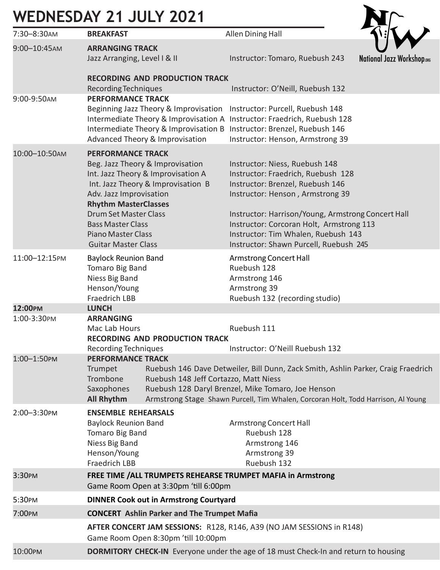### **WEDNESDAY 21 JULY 2021**

| 7:30-8:30AM      | <b>BREAKFAST</b>                                                                                                                                                                                                                                                                                                                                            | Allen Dining Hall                                                                                                                                                                                                                                                                                                               |                            |  |  |
|------------------|-------------------------------------------------------------------------------------------------------------------------------------------------------------------------------------------------------------------------------------------------------------------------------------------------------------------------------------------------------------|---------------------------------------------------------------------------------------------------------------------------------------------------------------------------------------------------------------------------------------------------------------------------------------------------------------------------------|----------------------------|--|--|
| 9:00-10:45AM     | <b>ARRANGING TRACK</b><br>Jazz Arranging, Level I & II                                                                                                                                                                                                                                                                                                      | Instructor: Tomaro, Ruebush 243                                                                                                                                                                                                                                                                                                 | National Jazz Workshop.org |  |  |
|                  | <b>RECORDING AND PRODUCTION TRACK</b><br>Recording Techniques                                                                                                                                                                                                                                                                                               | Instructor: O'Neill, Ruebush 132                                                                                                                                                                                                                                                                                                |                            |  |  |
| 9:00-9:50AM      | <b>PERFORMANCE TRACK</b><br>Beginning Jazz Theory & Improvisation<br>Intermediate Theory & Improvisation A Instructor: Fraedrich, Ruebush 128<br>Intermediate Theory & Improvisation B Instructor: Brenzel, Ruebush 146<br><b>Advanced Theory &amp; Improvisation</b>                                                                                       | Instructor: Purcell, Ruebush 148<br>Instructor: Henson, Armstrong 39                                                                                                                                                                                                                                                            |                            |  |  |
| 10:00-10:50AM    | <b>PERFORMANCE TRACK</b><br>Beg. Jazz Theory & Improvisation<br>Int. Jazz Theory & Improvisation A<br>Int. Jazz Theory & Improvisation B<br>Adv. Jazz Improvisation<br><b>Rhythm MasterClasses</b><br><b>Drum Set Master Class</b><br><b>Bass Master Class</b><br><b>Piano Master Class</b><br><b>Guitar Master Class</b>                                   | Instructor: Niess, Ruebush 148<br>Instructor: Fraedrich, Ruebush 128<br>Instructor: Brenzel, Ruebush 146<br>Instructor: Henson, Armstrong 39<br>Instructor: Harrison/Young, Armstrong Concert Hall<br>Instructor: Corcoran Holt, Armstrong 113<br>Instructor: Tim Whalen, Ruebush 143<br>Instructor: Shawn Purcell, Ruebush 245 |                            |  |  |
| 11:00-12:15PM    | <b>Baylock Reunion Band</b><br>Tomaro Big Band<br>Niess Big Band<br>Henson/Young<br><b>Fraedrich LBB</b>                                                                                                                                                                                                                                                    | Armstrong Concert Hall<br>Ruebush 128<br>Armstrong 146<br>Armstrong 39<br>Ruebush 132 (recording studio)                                                                                                                                                                                                                        |                            |  |  |
| 12:00PM          | <b>LUNCH</b>                                                                                                                                                                                                                                                                                                                                                |                                                                                                                                                                                                                                                                                                                                 |                            |  |  |
| 1:00-3:30PM      | <b>ARRANGING</b><br>Mac Lab Hours<br><b>RECORDING AND PRODUCTION TRACK</b><br><b>Recording Techniques</b>                                                                                                                                                                                                                                                   | Ruebush 111<br>Instructor: O'Neill Ruebush 132                                                                                                                                                                                                                                                                                  |                            |  |  |
| $1:00 - 1:50$ PM | <b>PERFORMANCE TRACK</b><br>Ruebush 146 Dave Detweiler, Bill Dunn, Zack Smith, Ashlin Parker, Craig Fraedrich<br>Trumpet<br>Trombone<br>Ruebush 148 Jeff Cortazzo, Matt Niess<br>Saxophones<br>Ruebush 128 Daryl Brenzel, Mike Tomaro, Joe Henson<br><b>All Rhythm</b><br>Armstrong Stage Shawn Purcell, Tim Whalen, Corcoran Holt, Todd Harrison, Al Young |                                                                                                                                                                                                                                                                                                                                 |                            |  |  |
| 2:00-3:30PM      | <b>ENSEMBLE REHEARSALS</b><br><b>Baylock Reunion Band</b><br>Tomaro Big Band<br>Niess Big Band<br>Henson/Young<br><b>Fraedrich LBB</b>                                                                                                                                                                                                                      | Armstrong Concert Hall<br>Ruebush 128<br>Armstrong 146<br>Armstrong 39<br>Ruebush 132                                                                                                                                                                                                                                           |                            |  |  |
| 3:30PM           | FREE TIME /ALL TRUMPETS REHEARSE TRUMPET MAFIA in Armstrong<br>Game Room Open at 3:30pm 'till 6:00pm                                                                                                                                                                                                                                                        |                                                                                                                                                                                                                                                                                                                                 |                            |  |  |
| 5:30PM           | <b>DINNER Cook out in Armstrong Courtyard</b>                                                                                                                                                                                                                                                                                                               |                                                                                                                                                                                                                                                                                                                                 |                            |  |  |
| 7:00PM           | <b>CONCERT</b> Ashlin Parker and The Trumpet Mafia                                                                                                                                                                                                                                                                                                          |                                                                                                                                                                                                                                                                                                                                 |                            |  |  |
|                  | AFTER CONCERT JAM SESSIONS: R128, R146, A39 (NO JAM SESSIONS in R148)<br>Game Room Open 8:30pm 'till 10:00pm                                                                                                                                                                                                                                                |                                                                                                                                                                                                                                                                                                                                 |                            |  |  |

Nr

10:00PM **DORMITORY CHECK-IN** Everyone under the age of 18 must Check-In and return to housing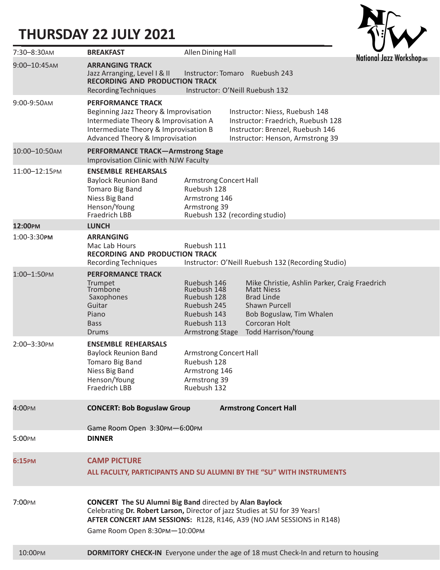### **THURSDAY 22 JULY 2021**



| $7:30 - 8:30$ AM  | <b>BREAKFAST</b>                                                                                                                                                                                                                                        | Allen Dining Hall                                                                                                |  |                                                                                                                                                                                     |                                  |
|-------------------|---------------------------------------------------------------------------------------------------------------------------------------------------------------------------------------------------------------------------------------------------------|------------------------------------------------------------------------------------------------------------------|--|-------------------------------------------------------------------------------------------------------------------------------------------------------------------------------------|----------------------------------|
| $9:00 - 10:45$ AM | <b>ARRANGING TRACK</b><br>Jazz Arranging, Level I & II<br><b>RECORDING AND PRODUCTION TRACK</b><br>Recording Techniques                                                                                                                                 |                                                                                                                  |  | Instructor: Tomaro Ruebush 243<br>Instructor: O'Neill Ruebush 132                                                                                                                   | <b>National Jazz Workshop.or</b> |
| 9:00-9:50AM       | <b>PERFORMANCE TRACK</b><br>Beginning Jazz Theory & Improvisation<br>Intermediate Theory & Improvisation A<br>Intermediate Theory & Improvisation B<br>Advanced Theory & Improvisation                                                                  |                                                                                                                  |  | Instructor: Niess, Ruebush 148<br>Instructor: Fraedrich, Ruebush 128<br>Instructor: Brenzel, Ruebush 146<br>Instructor: Henson, Armstrong 39                                        |                                  |
| 10:00-10:50AM     | <b>PERFORMANCE TRACK-Armstrong Stage</b><br>Improvisation Clinic with NJW Faculty                                                                                                                                                                       |                                                                                                                  |  |                                                                                                                                                                                     |                                  |
| 11:00-12:15PM     | <b>ENSEMBLE REHEARSALS</b><br><b>Baylock Reunion Band</b><br>Tomaro Big Band<br>Niess Big Band<br>Henson/Young<br>Fraedrich LBB                                                                                                                         | Armstrong Concert Hall<br>Ruebush 128<br>Armstrong 146<br>Armstrong 39<br>Ruebush 132 (recording studio)         |  |                                                                                                                                                                                     |                                  |
| 12:00PM           | <b>LUNCH</b>                                                                                                                                                                                                                                            |                                                                                                                  |  |                                                                                                                                                                                     |                                  |
| 1:00-3:30PM       | <b>ARRANGING</b><br>Mac Lab Hours<br><b>RECORDING AND PRODUCTION TRACK</b><br>Recording Techniques                                                                                                                                                      | Ruebush 111                                                                                                      |  | Instructor: O'Neill Ruebush 132 (Recording Studio)                                                                                                                                  |                                  |
| 1:00-1:50PM       | <b>PERFORMANCE TRACK</b><br>Trumpet<br>Trombone<br>Saxophones<br>Guitar<br>Piano<br><b>Bass</b><br><b>Drums</b>                                                                                                                                         | Ruebush 146<br>Ruebush 148<br>Ruebush 128<br>Ruebush 245<br>Ruebush 143<br>Ruebush 113<br><b>Armstrong Stage</b> |  | Mike Christie, Ashlin Parker, Craig Fraedrich<br><b>Matt Niess</b><br><b>Brad Linde</b><br>Shawn Purcell<br>Bob Boguslaw, Tim Whalen<br>Corcoran Holt<br><b>Todd Harrison/Young</b> |                                  |
| 2:00-3:30PM       | <b>ENSEMBLE REHEARSALS</b><br><b>Baylock Reunion Band</b><br>Tomaro Big Band<br>Niess Big Band<br>Henson/Young<br>Fraedrich LBB                                                                                                                         | Armstrong Concert Hall<br>Ruebush 128<br>Armstrong 146<br>Armstrong 39<br>Ruebush 132                            |  |                                                                                                                                                                                     |                                  |
| 4:00PM            | <b>CONCERT: Bob Boguslaw Group</b>                                                                                                                                                                                                                      |                                                                                                                  |  | <b>Armstrong Concert Hall</b>                                                                                                                                                       |                                  |
| 5:00PM            | Game Room Open 3:30PM-6:00PM<br><b>DINNER</b>                                                                                                                                                                                                           |                                                                                                                  |  |                                                                                                                                                                                     |                                  |
| 6:15PM            | <b>CAMP PICTURE</b><br>ALL FACULTY, PARTICIPANTS AND SU ALUMNI BY THE "SU" WITH INSTRUMENTS                                                                                                                                                             |                                                                                                                  |  |                                                                                                                                                                                     |                                  |
| 7:00PM            | <b>CONCERT The SU Alumni Big Band directed by Alan Baylock</b><br>Celebrating Dr. Robert Larson, Director of jazz Studies at SU for 39 Years!<br>AFTER CONCERT JAM SESSIONS: R128, R146, A39 (NO JAM SESSIONS in R148)<br>Game Room Open 8:30PM-10:00PM |                                                                                                                  |  |                                                                                                                                                                                     |                                  |
| 10:00PM           |                                                                                                                                                                                                                                                         |                                                                                                                  |  | <b>DORMITORY CHECK-IN</b> Everyone under the age of 18 must Check-In and return to housing                                                                                          |                                  |
|                   |                                                                                                                                                                                                                                                         |                                                                                                                  |  |                                                                                                                                                                                     |                                  |